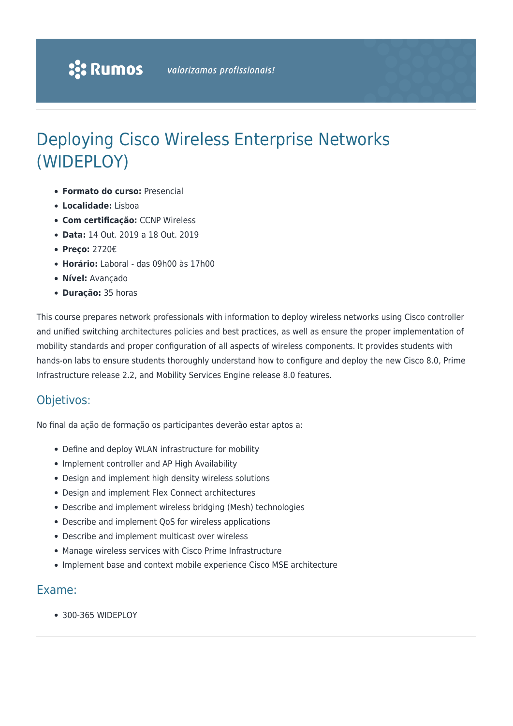# Deploying Cisco Wireless Enterprise Networks (WIDEPLOY)

- **Formato do curso:** Presencial
- **Localidade:** Lisboa
- **Com certificação:** CCNP Wireless
- **Data:** 14 Out. 2019 a 18 Out. 2019
- **Preço:** 2720€
- **Horário:** Laboral das 09h00 às 17h00
- **Nível:** Avançado
- **Duração:** 35 horas

This course prepares network professionals with information to deploy wireless networks using Cisco controller and unified switching architectures policies and best practices, as well as ensure the proper implementation of mobility standards and proper configuration of all aspects of wireless components. It provides students with hands-on labs to ensure students thoroughly understand how to configure and deploy the new Cisco 8.0, Prime Infrastructure release 2.2, and Mobility Services Engine release 8.0 features.

### Objetivos:

No final da ação de formação os participantes deverão estar aptos a:

- Define and deploy WLAN infrastructure for mobility
- Implement controller and AP High Availability
- Design and implement high density wireless solutions
- Design and implement Flex Connect architectures
- Describe and implement wireless bridging (Mesh) technologies
- Describe and implement QoS for wireless applications
- Describe and implement multicast over wireless
- Manage wireless services with Cisco Prime Infrastructure
- Implement base and context mobile experience Cisco MSE architecture

### Exame:

300-365 WIDEPLOY